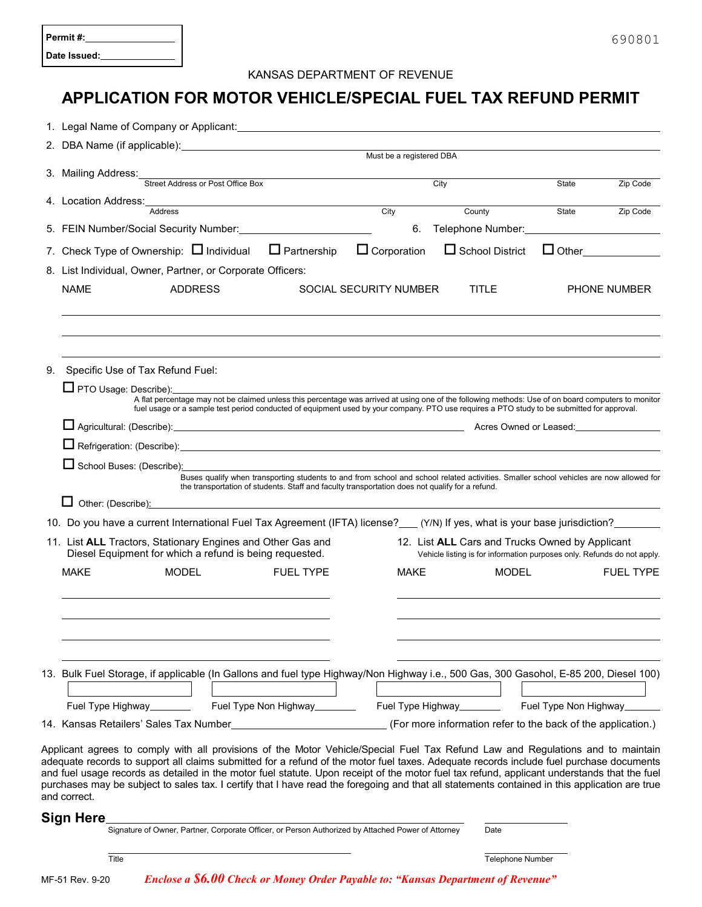| Permit #:    |  |
|--------------|--|
| Date Issued: |  |

## KANSAS DEPARTMENT OF REVENUE

## **APPLICATION FOR MOTOR VEHICLE/SPECIAL FUEL TAX REFUND PERMIT**

|                                                                                                                | Must be a registered DBA                              |                                                                                                                                                                                                                                                                                                |  |                        |                                                                                                                                                     |                        |                         |                       |                                                                         |  |  |
|----------------------------------------------------------------------------------------------------------------|-------------------------------------------------------|------------------------------------------------------------------------------------------------------------------------------------------------------------------------------------------------------------------------------------------------------------------------------------------------|--|------------------------|-----------------------------------------------------------------------------------------------------------------------------------------------------|------------------------|-------------------------|-----------------------|-------------------------------------------------------------------------|--|--|
|                                                                                                                | 3. Mailing Address: Street Address or Post Office Box |                                                                                                                                                                                                                                                                                                |  |                        |                                                                                                                                                     | City                   |                         | State                 | Zip Code                                                                |  |  |
|                                                                                                                |                                                       |                                                                                                                                                                                                                                                                                                |  |                        |                                                                                                                                                     |                        |                         |                       |                                                                         |  |  |
|                                                                                                                |                                                       | 4. Location Address: Address Address                                                                                                                                                                                                                                                           |  |                        | City                                                                                                                                                | County                 |                         | State                 | Zip Code                                                                |  |  |
|                                                                                                                |                                                       |                                                                                                                                                                                                                                                                                                |  |                        | 6.                                                                                                                                                  |                        |                         |                       | Telephone Number: Management Communication                              |  |  |
|                                                                                                                |                                                       | 7. Check Type of Ownership: $\Box$ Individual                                                                                                                                                                                                                                                  |  | $\Box$ Partnership     | $\Box$ Corporation                                                                                                                                  | $\Box$ School District |                         |                       |                                                                         |  |  |
|                                                                                                                |                                                       | 8. List Individual, Owner, Partner, or Corporate Officers:                                                                                                                                                                                                                                     |  |                        |                                                                                                                                                     |                        |                         |                       |                                                                         |  |  |
|                                                                                                                | <b>NAME</b><br><b>ADDRESS</b>                         |                                                                                                                                                                                                                                                                                                |  | SOCIAL SECURITY NUMBER | <b>TITLE</b>                                                                                                                                        |                        |                         | <b>PHONE NUMBER</b>   |                                                                         |  |  |
|                                                                                                                |                                                       |                                                                                                                                                                                                                                                                                                |  |                        |                                                                                                                                                     |                        |                         |                       |                                                                         |  |  |
|                                                                                                                |                                                       |                                                                                                                                                                                                                                                                                                |  |                        |                                                                                                                                                     |                        |                         |                       |                                                                         |  |  |
|                                                                                                                |                                                       |                                                                                                                                                                                                                                                                                                |  |                        |                                                                                                                                                     |                        |                         |                       |                                                                         |  |  |
| 9.                                                                                                             |                                                       | Specific Use of Tax Refund Fuel:                                                                                                                                                                                                                                                               |  |                        |                                                                                                                                                     |                        |                         |                       |                                                                         |  |  |
|                                                                                                                |                                                       | □ PTO Usage: Describe): <u>● PTO Usage: Describe</u>                                                                                                                                                                                                                                           |  |                        |                                                                                                                                                     |                        |                         |                       |                                                                         |  |  |
|                                                                                                                |                                                       |                                                                                                                                                                                                                                                                                                |  |                        | A flat percentage may not be claimed unless this percentage was arrived at using one of the following methods: Use of on board computers to monitor |                        |                         |                       |                                                                         |  |  |
|                                                                                                                |                                                       | La Agricultural: (Describe): <u>Contract Communication of Agricultural: (Describe):</u> Acres Owned or Leased: Communication of Leased:                                                                                                                                                        |  |                        | fuel usage or a sample test period conducted of equipment used by your company. PTO use requires a PTO study to be submitted for approval.          |                        |                         |                       |                                                                         |  |  |
|                                                                                                                |                                                       |                                                                                                                                                                                                                                                                                                |  |                        |                                                                                                                                                     |                        |                         |                       |                                                                         |  |  |
|                                                                                                                |                                                       | Refrigeration: (Describe): Contract and Contract and Contract and Contract and Contract and Contract and Contract and Contract and Contract and Contract and Contract and Contract and Contract and Contract and Contract and                                                                  |  |                        |                                                                                                                                                     |                        |                         |                       |                                                                         |  |  |
|                                                                                                                |                                                       | School Buses: (Describe):<br>Buses qualify when transporting students to and from school and school related activities. Smaller school vehicles are now allowed for                                                                                                                            |  |                        |                                                                                                                                                     |                        |                         |                       |                                                                         |  |  |
|                                                                                                                |                                                       |                                                                                                                                                                                                                                                                                                |  |                        | the transportation of students. Staff and faculty transportation does not qualify for a refund.                                                     |                        |                         |                       |                                                                         |  |  |
|                                                                                                                |                                                       | Other: (Describe): example and the state of the state of the state of the state of the state of the state of the state of the state of the state of the state of the state of the state of the state of the state of the state                                                                 |  |                        |                                                                                                                                                     |                        |                         |                       |                                                                         |  |  |
|                                                                                                                |                                                       | 10. Do you have a current International Fuel Tax Agreement (IFTA) license?___(Y/N) If yes, what is your base jurisdiction?______                                                                                                                                                               |  |                        |                                                                                                                                                     |                        |                         |                       |                                                                         |  |  |
| 12. List ALL Cars and Trucks Owned by Applicant<br>11. List ALL Tractors, Stationary Engines and Other Gas and |                                                       |                                                                                                                                                                                                                                                                                                |  |                        |                                                                                                                                                     |                        |                         |                       |                                                                         |  |  |
|                                                                                                                |                                                       | Diesel Equipment for which a refund is being requested.                                                                                                                                                                                                                                        |  |                        |                                                                                                                                                     |                        |                         |                       | Vehicle listing is for information purposes only. Refunds do not apply. |  |  |
|                                                                                                                | <b>MAKE</b>                                           | <b>MODEL</b>                                                                                                                                                                                                                                                                                   |  | <b>FUEL TYPE</b>       | <b>MAKE</b>                                                                                                                                         |                        | <b>MODEL</b>            |                       | <b>FUEL TYPE</b>                                                        |  |  |
|                                                                                                                |                                                       |                                                                                                                                                                                                                                                                                                |  |                        |                                                                                                                                                     |                        |                         |                       |                                                                         |  |  |
|                                                                                                                |                                                       |                                                                                                                                                                                                                                                                                                |  |                        |                                                                                                                                                     |                        |                         |                       |                                                                         |  |  |
|                                                                                                                |                                                       |                                                                                                                                                                                                                                                                                                |  |                        |                                                                                                                                                     |                        |                         |                       |                                                                         |  |  |
|                                                                                                                |                                                       |                                                                                                                                                                                                                                                                                                |  |                        |                                                                                                                                                     |                        |                         |                       |                                                                         |  |  |
|                                                                                                                |                                                       | 13. Bulk Fuel Storage, if applicable (In Gallons and fuel type Highway/Non Highway i.e., 500 Gas, 300 Gasohol, E-85 200, Diesel 100)                                                                                                                                                           |  |                        |                                                                                                                                                     |                        |                         |                       |                                                                         |  |  |
|                                                                                                                |                                                       |                                                                                                                                                                                                                                                                                                |  |                        |                                                                                                                                                     |                        |                         |                       |                                                                         |  |  |
|                                                                                                                |                                                       | Fuel Type Highway________                                                                                                                                                                                                                                                                      |  |                        |                                                                                                                                                     |                        |                         | Fuel Type Non Highway |                                                                         |  |  |
|                                                                                                                |                                                       | 14. Kansas Retailers' Sales Tax Number <b>Constant Constant Constant Constant Constant</b> (For more information refer to the back of the application.)                                                                                                                                        |  |                        |                                                                                                                                                     |                        |                         |                       |                                                                         |  |  |
|                                                                                                                |                                                       | Applicant agrees to comply with all provisions of the Motor Vehicle/Special Fuel Tax Refund Law and Regulations and to maintain                                                                                                                                                                |  |                        |                                                                                                                                                     |                        |                         |                       |                                                                         |  |  |
|                                                                                                                |                                                       | adequate records to support all claims submitted for a refund of the motor fuel taxes. Adequate records include fuel purchase documents                                                                                                                                                        |  |                        |                                                                                                                                                     |                        |                         |                       |                                                                         |  |  |
|                                                                                                                |                                                       | and fuel usage records as detailed in the motor fuel statute. Upon receipt of the motor fuel tax refund, applicant understands that the fuel<br>purchases may be subject to sales tax. I certify that I have read the foregoing and that all statements contained in this application are true |  |                        |                                                                                                                                                     |                        |                         |                       |                                                                         |  |  |
|                                                                                                                | and correct.                                          |                                                                                                                                                                                                                                                                                                |  |                        |                                                                                                                                                     |                        |                         |                       |                                                                         |  |  |
|                                                                                                                | Sign Here                                             |                                                                                                                                                                                                                                                                                                |  |                        |                                                                                                                                                     |                        |                         |                       |                                                                         |  |  |
| Signature of Owner, Partner, Corporate Officer, or Person Authorized by Attached Power of Attorney             |                                                       |                                                                                                                                                                                                                                                                                                |  |                        |                                                                                                                                                     |                        | Date                    |                       |                                                                         |  |  |
|                                                                                                                |                                                       |                                                                                                                                                                                                                                                                                                |  |                        |                                                                                                                                                     |                        |                         |                       |                                                                         |  |  |
|                                                                                                                |                                                       | Title                                                                                                                                                                                                                                                                                          |  |                        |                                                                                                                                                     |                        | <b>Telephone Number</b> |                       |                                                                         |  |  |
|                                                                                                                | MF-51 Rev. 9-20                                       |                                                                                                                                                                                                                                                                                                |  |                        | <b>Enclose a \$6.00 Check or Money Order Payable to: "Kansas Department of Revenue"</b>                                                             |                        |                         |                       |                                                                         |  |  |